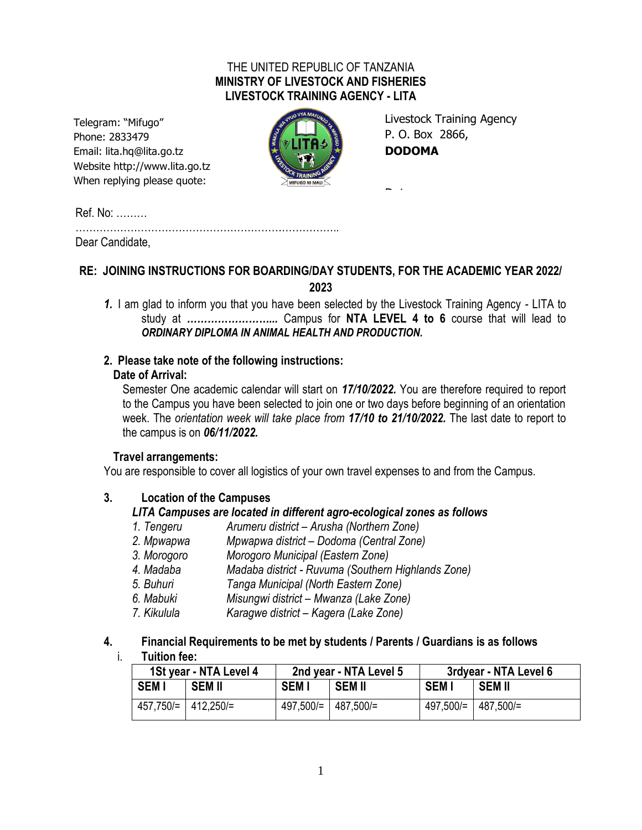### THE UNITED REPUBLIC OF TANZANIA **MINISTRY OF LIVESTOCK AND FISHERIES LIVESTOCK TRAINING AGENCY - LITA**

Telegram: "Mifugo" Phone: 2833479 Email: lita.hq@lita.go.tz Website http://www.lita.go.tz When replying please quote:



Livestock Training Agency P. O. Box 2866, **DODOMA**

Date …………………………..

Ref. No: ………

………………………………………………………………….. Dear Candidate,

## **RE: JOINING INSTRUCTIONS FOR BOARDING/DAY STUDENTS, FOR THE ACADEMIC YEAR 2022/ 2023**

*1.* I am glad to inform you that you have been selected by the Livestock Training Agency - LITA to study at *……………………...* Campus for **NTA LEVEL 4 to 6** course that will lead to *ORDINARY DIPLOMA IN ANIMAL HEALTH AND PRODUCTION.*

### **2. Please take note of the following instructions:**

### **Date of Arrival:**

Semester One academic calendar will start on *17/10/2022.* You are therefore required to report to the Campus you have been selected to join one or two days before beginning of an orientation week. The *orientation week will take place from 17/10 to 21/10/2022.* The last date to report to the campus is on *06/11/2022.*

### **Travel arrangements:**

You are responsible to cover all logistics of your own travel expenses to and from the Campus.

### **3. Location of the Campuses**

### *LITA Campuses are located in different agro-ecological zones as follows*

- *1. Tengeru Arumeru district – Arusha (Northern Zone)*
- *2. Mpwapwa Mpwapwa district – Dodoma (Central Zone)*
- *3. Morogoro Morogoro Municipal (Eastern Zone)*
- *4. Madaba Madaba district - Ruvuma (Southern Highlands Zone)*
- *5. Buhuri Tanga Municipal (North Eastern Zone)*
- *6. Mabuki Misungwi district – Mwanza (Lake Zone)*
- *7. Kikulula Karagwe district – Kagera (Lake Zone)*

# **4. Financial Requirements to be met by students / Parents / Guardians is as follows**

#### i. **Tuition fee:**

| 1St year - NTA Level 4 |                     | 2nd year - NTA Level 5 |                                 | 3rdyear - NTA Level 6 |                     |
|------------------------|---------------------|------------------------|---------------------------------|-----------------------|---------------------|
| <b>SEMI</b>            | <b>SEM II</b>       | <b>SEMI</b>            | SEM II                          | <b>SEMI</b>           | SEM II              |
|                        | 457.750/= 412,250/= |                        | $497,500/=\vert 487,500/=\vert$ |                       | 497,500/= 487,500/= |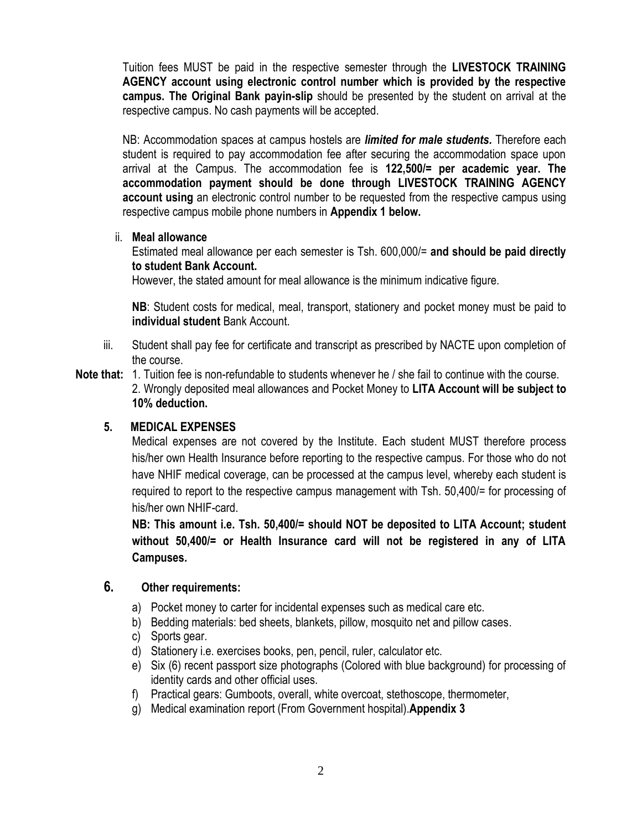Tuition fees MUST be paid in the respective semester through the **LIVESTOCK TRAINING AGENCY account using electronic control number which is provided by the respective campus. The Original Bank payin-slip** should be presented by the student on arrival at the respective campus. No cash payments will be accepted.

NB: Accommodation spaces at campus hostels are *limited for male students.* Therefore each student is required to pay accommodation fee after securing the accommodation space upon arrival at the Campus. The accommodation fee is **122,500/= per academic year. The accommodation payment should be done through LIVESTOCK TRAINING AGENCY account using** an electronic control number to be requested from the respective campus using respective campus mobile phone numbers in **Appendix 1 below.**

#### ii. **Meal allowance**

Estimated meal allowance per each semester is Tsh. 600,000/= **and should be paid directly to student Bank Account.**

However, the stated amount for meal allowance is the minimum indicative figure.

**NB**: Student costs for medical, meal, transport, stationery and pocket money must be paid to **individual student** Bank Account.

- iii. Student shall pay fee for certificate and transcript as prescribed by NACTE upon completion of the course.
- **Note that:** 1. Tuition fee is non-refundable to students whenever he / she fail to continue with the course. 2. Wrongly deposited meal allowances and Pocket Money to **LITA Account will be subject to 10% deduction.**

#### **5. MEDICAL EXPENSES**

Medical expenses are not covered by the Institute. Each student MUST therefore process his/her own Health Insurance before reporting to the respective campus. For those who do not have NHIF medical coverage, can be processed at the campus level, whereby each student is required to report to the respective campus management with Tsh. 50,400/= for processing of his/her own NHIF-card.

**NB: This amount i.e. Tsh. 50,400/= should NOT be deposited to LITA Account; student without 50,400/= or Health Insurance card will not be registered in any of LITA Campuses.**

#### **6. Other requirements:**

- a) Pocket money to carter for incidental expenses such as medical care etc.
- b) Bedding materials: bed sheets, blankets, pillow, mosquito net and pillow cases.
- c) Sports gear.
- d) Stationery i.e. exercises books, pen, pencil, ruler, calculator etc.
- e) Six (6) recent passport size photographs (Colored with blue background) for processing of identity cards and other official uses.
- f) Practical gears: Gumboots, overall, white overcoat, stethoscope, thermometer,
- g) Medical examination report (From Government hospital).**Appendix 3**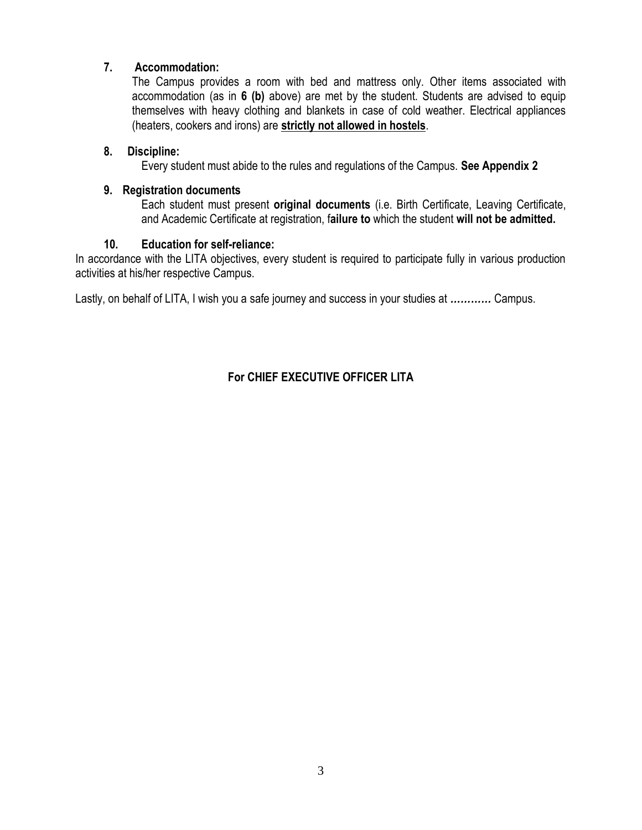### **7. Accommodation:**

The Campus provides a room with bed and mattress only. Other items associated with accommodation (as in **6 (b)** above) are met by the student. Students are advised to equip themselves with heavy clothing and blankets in case of cold weather. Electrical appliances (heaters, cookers and irons) are **strictly not allowed in hostels**.

### **8. Discipline:**

Every student must abide to the rules and regulations of the Campus. **See Appendix 2**

### **9. Registration documents**

Each student must present **original documents** (i.e. Birth Certificate, Leaving Certificate, and Academic Certificate at registration, f**ailure to** which the student **will not be admitted.**

### **10. Education for self-reliance:**

In accordance with the LITA objectives, every student is required to participate fully in various production activities at his/her respective Campus.

Lastly, on behalf of LITA, I wish you a safe journey and success in your studies at *…………* Campus.

# **For CHIEF EXECUTIVE OFFICER LITA**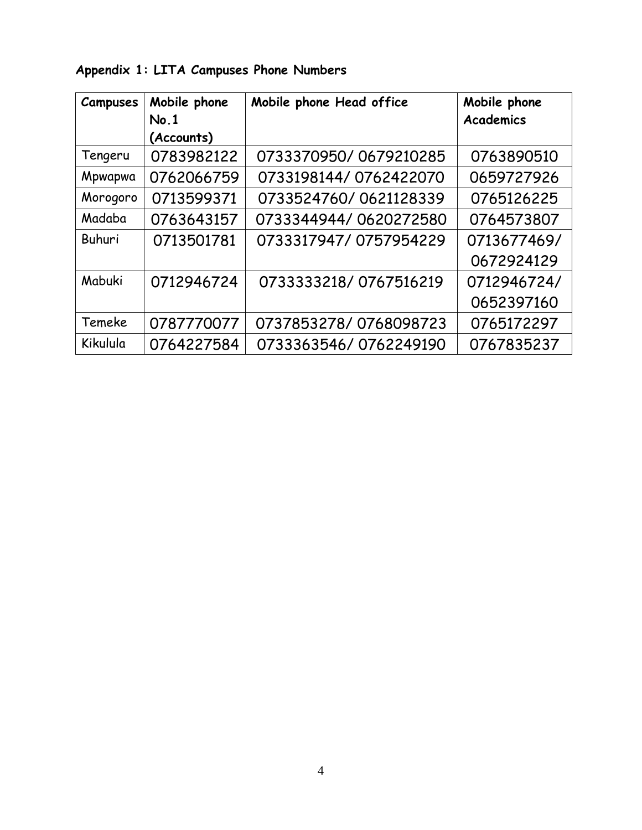| <b>Campuses</b> | Mobile phone       | Mobile phone Head office | Mobile phone     |
|-----------------|--------------------|--------------------------|------------------|
|                 | No.1<br>(Accounts) |                          | <b>Academics</b> |
| Tengeru         | 0783982122         | 0733370950/0679210285    | 0763890510       |
| Mpwapwa         | 0762066759         | 0733198144/0762422070    | 0659727926       |
| Morogoro        | 0713599371         | 0733524760/0621128339    | 0765126225       |
| Madaba          | 0763643157         | 0733344944/0620272580    | 0764573807       |
| Buhuri          | 0713501781         | 0733317947/0757954229    | 0713677469/      |
|                 |                    |                          | 0672924129       |
| Mabuki          | 0712946724         | 0733333218/0767516219    | 0712946724/      |
|                 |                    |                          | 0652397160       |
| Temeke          | 0787770077         | 0737853278/0768098723    | 0765172297       |
| Kikulula        | 0764227584         | 0733363546/0762249190    | 0767835237       |

**Appendix 1: LITA Campuses Phone Numbers**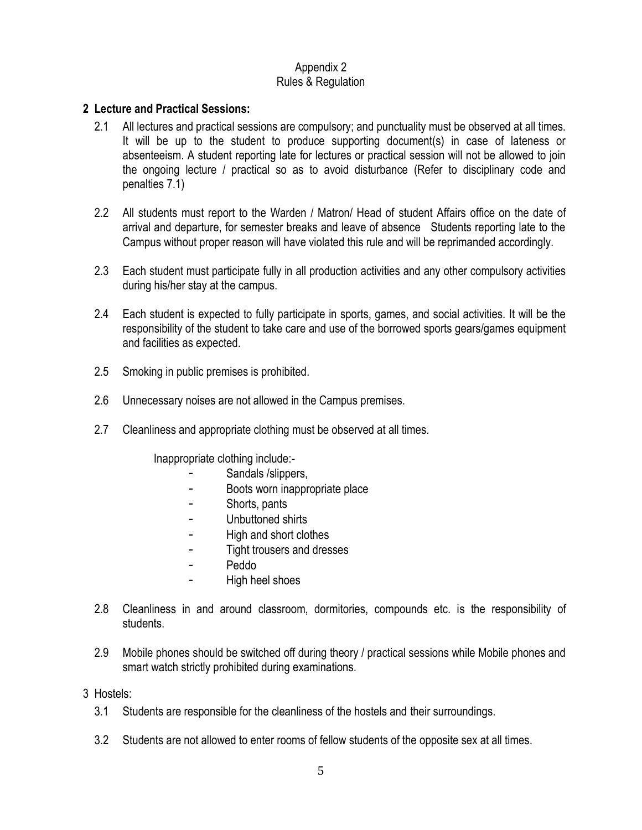#### Appendix 2 Rules & Regulation

#### **2 Lecture and Practical Sessions:**

- 2.1 All lectures and practical sessions are compulsory; and punctuality must be observed at all times. It will be up to the student to produce supporting document(s) in case of lateness or absenteeism. A student reporting late for lectures or practical session will not be allowed to join the ongoing lecture / practical so as to avoid disturbance (Refer to disciplinary code and penalties 7.1)
- 2.2 All students must report to the Warden / Matron/ Head of student Affairs office on the date of arrival and departure, for semester breaks and leave of absence Students reporting late to the Campus without proper reason will have violated this rule and will be reprimanded accordingly.
- 2.3 Each student must participate fully in all production activities and any other compulsory activities during his/her stay at the campus.
- 2.4 Each student is expected to fully participate in sports, games, and social activities. It will be the responsibility of the student to take care and use of the borrowed sports gears/games equipment and facilities as expected.
- 2.5 Smoking in public premises is prohibited.
- 2.6 Unnecessary noises are not allowed in the Campus premises.
- 2.7 Cleanliness and appropriate clothing must be observed at all times.

Inappropriate clothing include:-

- Sandals /slippers,
- Boots worn inappropriate place
- Shorts, pants
- Unbuttoned shirts
- High and short clothes
- Tight trousers and dresses
- Peddo
- High heel shoes
- 2.8 Cleanliness in and around classroom, dormitories, compounds etc. is the responsibility of students.
- 2.9 Mobile phones should be switched off during theory / practical sessions while Mobile phones and smart watch strictly prohibited during examinations.
- 3 Hostels:
	- 3.1 Students are responsible for the cleanliness of the hostels and their surroundings.
	- 3.2 Students are not allowed to enter rooms of fellow students of the opposite sex at all times.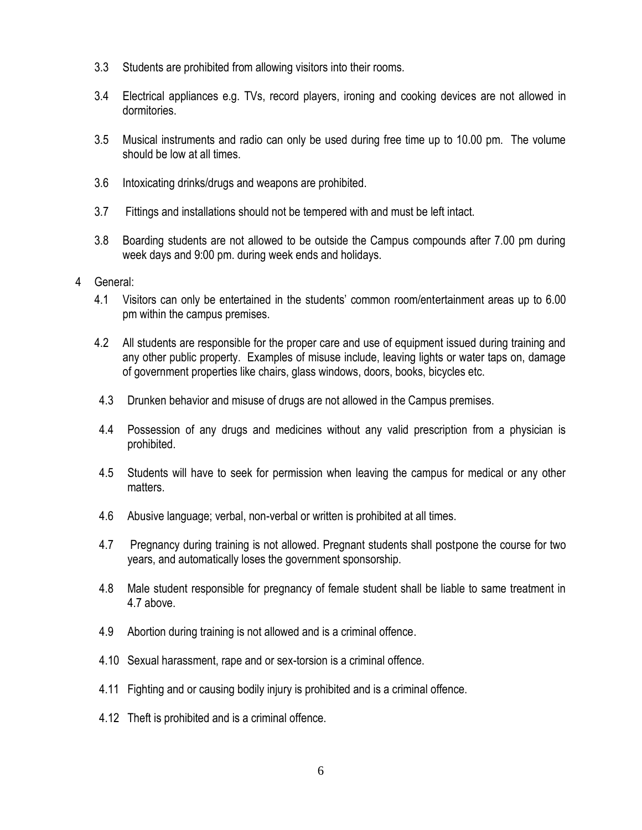- 3.3 Students are prohibited from allowing visitors into their rooms.
- 3.4 Electrical appliances e.g. TVs, record players, ironing and cooking devices are not allowed in dormitories.
- 3.5 Musical instruments and radio can only be used during free time up to 10.00 pm. The volume should be low at all times.
- 3.6 Intoxicating drinks/drugs and weapons are prohibited.
- 3.7 Fittings and installations should not be tempered with and must be left intact.
- 3.8 Boarding students are not allowed to be outside the Campus compounds after 7.00 pm during week days and 9:00 pm. during week ends and holidays.
- 4 General:
	- 4.1 Visitors can only be entertained in the students' common room/entertainment areas up to 6.00 pm within the campus premises.
	- 4.2 All students are responsible for the proper care and use of equipment issued during training and any other public property. Examples of misuse include, leaving lights or water taps on, damage of government properties like chairs, glass windows, doors, books, bicycles etc.
	- 4.3 Drunken behavior and misuse of drugs are not allowed in the Campus premises.
	- 4.4 Possession of any drugs and medicines without any valid prescription from a physician is prohibited.
	- 4.5 Students will have to seek for permission when leaving the campus for medical or any other matters.
	- 4.6 Abusive language; verbal, non-verbal or written is prohibited at all times.
	- 4.7 Pregnancy during training is not allowed. Pregnant students shall postpone the course for two years, and automatically loses the government sponsorship.
	- 4.8 Male student responsible for pregnancy of female student shall be liable to same treatment in 4.7 above.
	- 4.9 Abortion during training is not allowed and is a criminal offence.
	- 4.10 Sexual harassment, rape and or sex-torsion is a criminal offence.
	- 4.11 Fighting and or causing bodily injury is prohibited and is a criminal offence.
	- 4.12 Theft is prohibited and is a criminal offence.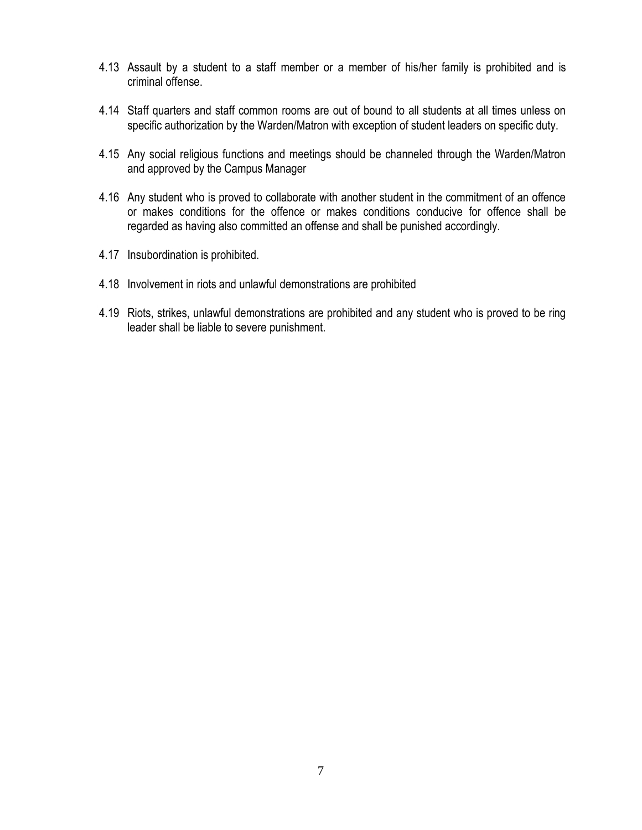- 4.13 Assault by a student to a staff member or a member of his/her family is prohibited and is criminal offense.
- 4.14 Staff quarters and staff common rooms are out of bound to all students at all times unless on specific authorization by the Warden/Matron with exception of student leaders on specific duty.
- 4.15 Any social religious functions and meetings should be channeled through the Warden/Matron and approved by the Campus Manager
- 4.16 Any student who is proved to collaborate with another student in the commitment of an offence or makes conditions for the offence or makes conditions conducive for offence shall be regarded as having also committed an offense and shall be punished accordingly.
- 4.17 Insubordination is prohibited.
- 4.18 Involvement in riots and unlawful demonstrations are prohibited
- 4.19 Riots, strikes, unlawful demonstrations are prohibited and any student who is proved to be ring leader shall be liable to severe punishment.